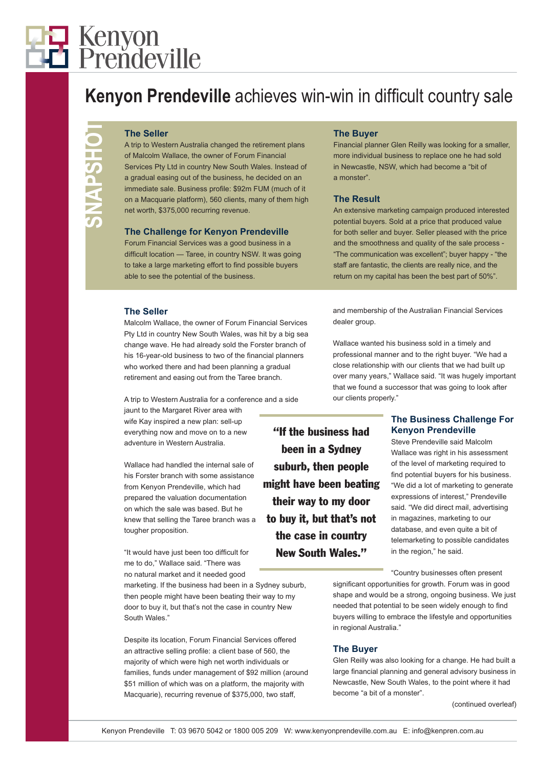# 7 Kenyon<br>4 Prendeville

Kenyon Prendeville achieves win-win in difficult country sale

#### **The Seller**

A trip to Western Australia changed the retirement plans of Malcolm Wallace, the owner of Forum Financial Services Pty Ltd in country New South Wales. Instead of a gradual easing out of the business, he decided on an immediate sale. Business profile: \$92m FUM (much of it on a Macquarie platform), 560 clients, many of them high net worth, \$375,000 recurring revenue.

### **The Challenge for Kenyon Prendeville**

Forum Financial Services was a good business in a difficult location — Taree, in country NSW. It was going to take a large marketing effort to find possible buyers able to see the potential of the business.

#### **The Seller**

Malcolm Wallace, the owner of Forum Financial Services Pty Ltd in country New South Wales, was hit by a big sea change wave. He had already sold the Forster branch of his 16-year-old business to two of the financial planners who worked there and had been planning a gradual retirement and easing out from the Taree branch.

A trip to Western Australia for a conference and a side

jaunt to the Margaret River area with wife Kay inspired a new plan: sell-up everything now and move on to a new adventure in Western Australia.

Wallace had handled the internal sale of his Forster branch with some assistance from Kenyon Prendeville, which had prepared the valuation documentation on which the sale was based. But he knew that selling the Taree branch was a tougher proposition.

"It would have just been too difficult for me to do," Wallace said. "There was no natural market and it needed good

marketing. If the business had been in a Sydney suburb, then people might have been beating their way to my door to buy it, but that's not the case in country New South Wales."

Despite its location, Forum Financial Services offered an attractive selling profile: a client base of 560, the majority of which were high net worth individuals or families, funds under management of \$92 million (around \$51 million of which was on a platform, the majority with Macquarie), recurring revenue of \$375,000, two staff,

## **The Buyer**

Financial planner Glen Reilly was looking for a smaller, more individual business to replace one he had sold in Newcastle, NSW, which had become a "bit of a monster".

#### **The Result**

An extensive marketing campaign produced interested potential buyers. Sold at a price that produced value for both seller and buyer. Seller pleased with the price and the smoothness and quality of the sale process - "The communication was excellent"; buyer happy - "the staff are fantastic, the clients are really nice, and the return on my capital has been the best part of 50%".

and membership of the Australian Financial Services dealer group.

Wallace wanted his business sold in a timely and professional manner and to the right buyer. "We had a close relationship with our clients that we had built up over many years," Wallace said. "It was hugely important that we found a successor that was going to look after our clients properly."

The Saleir voltation device of earn when a state and the sale is the sale is the sale of the sale is the sale of the sale is the sale of the sale of the sale of the sale of the sale of the sale of the sale of the sale of "If the business had been in a Sydney suburb, then people might have been beating their way to my door to buy it, but that's not the case in country New South Wales."

# **The Business Challenge For Kenyon Prendeville**

Steve Prendeville said Malcolm Wallace was right in his assessment of the level of marketing required to find potential buyers for his business. "We did a lot of marketing to generate expressions of interest," Prendeville said. "We did direct mail, advertising in magazines, marketing to our database, and even quite a bit of telemarketing to possible candidates in the region," he said.

"Country businesses often present significant opportunities for growth. Forum was in good shape and would be a strong, ongoing business. We just needed that potential to be seen widely enough to find buyers willing to embrace the lifestyle and opportunities in regional Australia."

#### **The Buyer**

Glen Reilly was also looking for a change. He had built a large financial planning and general advisory business in Newcastle, New South Wales, to the point where it had become "a bit of a monster".

(continued overleaf)